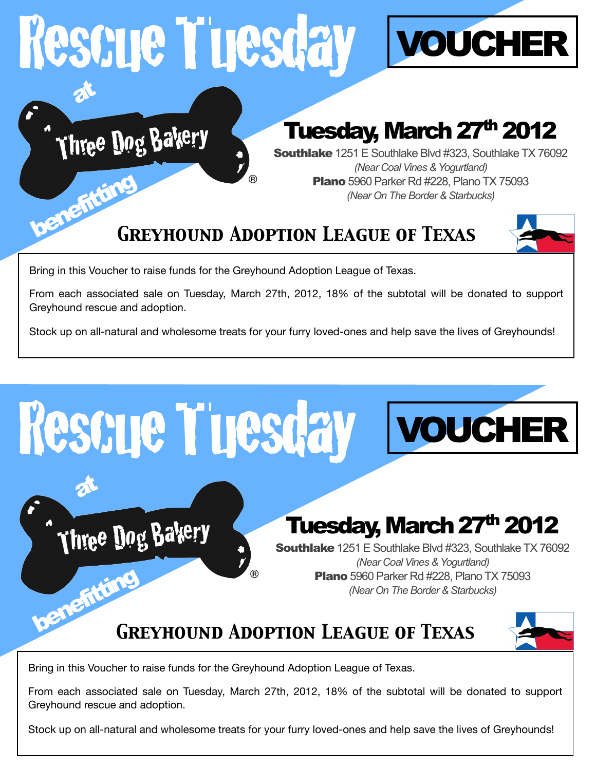## Rescue Tuesday at

Three Dog Bakery



### Tuesday, March 27<sup>th</sup> 2012

Southlake 1251 E Southlake Blvd #323, Southlake TX 76092 *(Near Coal Vines & Yogurtland)*  **Plano** 5960 Parker Rd #228, Plano TX 75093 **Plano** 5960 Parker Rd #228, Plano TX<br>(Near On The Border & Starbucks)

### *Greyhound Adoption League of Texas*



Bring in this Voucher to raise funds for the Greyhound Adoption League of Texas.

From each associated sale on Tuesday, March 27th, 2012, 18% of the subtotal will be donated to support Greyhound rescue and adoption.

Stock up on all-natural and wholesome treats for your furry loved-ones and help save the lives of Greyhounds!



Bring in this Voucher to raise funds for the Greyhound Adoption League of Texas.

From each associated sale on Tuesday, March 27th, 2012, 18% of the subtotal will be donated to support Greyhound rescue and adoption.

Stock up on all-natural and wholesome treats for your furry loved-ones and help save the lives of Greyhounds!